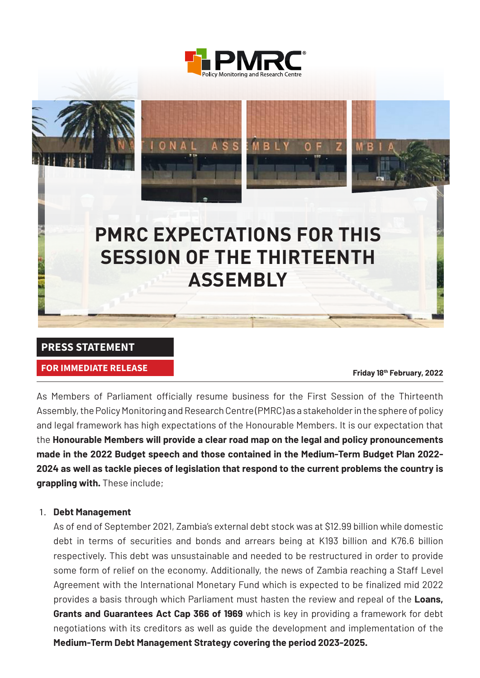



#### **PRESS STATEMENT**

## **FOR IMMEDIATE RELEASE**<br>
Friday 18th February, 2022

As Members of Parliament officially resume business for the First Session of the Thirteenth Assembly, the Policy Monitoring and Research Centre (PMRC) as a stakeholder in the sphere of policy and legal framework has high expectations of the Honourable Members. It is our expectation that the **Honourable Members will provide a clear road map on the legal and policy pronouncements made in the 2022 Budget speech and those contained in the Medium-Term Budget Plan 2022- 2024 as well as tackle pieces of legislation that respond to the current problems the country is grappling with.** These include;

#### 1. **Debt Management**

As of end of September 2021, Zambia's external debt stock was at \$12.99 billion while domestic debt in terms of securities and bonds and arrears being at K193 billion and K76.6 billion respectively. This debt was unsustainable and needed to be restructured in order to provide some form of relief on the economy. Additionally, the news of Zambia reaching a Staff Level Agreement with the International Monetary Fund which is expected to be finalized mid 2022 provides a basis through which Parliament must hasten the review and repeal of the **Loans, Grants and Guarantees Act Cap 366 of 1969** which is key in providing a framework for debt negotiations with its creditors as well as guide the development and implementation of the **Medium-Term Debt Management Strategy covering the period 2023-2025.**